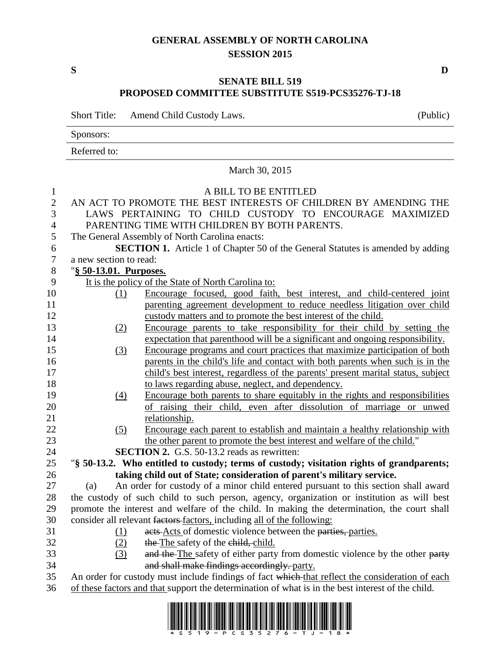## **GENERAL ASSEMBLY OF NORTH CAROLINA SESSION 2015**

**S D**

## **SENATE BILL 519 PROPOSED COMMITTEE SUBSTITUTE S519-PCS35276-TJ-18**

Short Title: Amend Child Custody Laws. (Public)

Sponsors:

|                | Referred to:                                                                                |                                                                                                 |
|----------------|---------------------------------------------------------------------------------------------|-------------------------------------------------------------------------------------------------|
|                | March 30, 2015                                                                              |                                                                                                 |
| $\mathbf{1}$   | A BILL TO BE ENTITLED                                                                       |                                                                                                 |
| $\overline{2}$ | AN ACT TO PROMOTE THE BEST INTERESTS OF CHILDREN BY AMENDING THE                            |                                                                                                 |
| 3              | LAWS PERTAINING TO CHILD CUSTODY TO ENCOURAGE MAXIMIZED                                     |                                                                                                 |
| $\overline{4}$ | PARENTING TIME WITH CHILDREN BY BOTH PARENTS.                                               |                                                                                                 |
| 5              | The General Assembly of North Carolina enacts:                                              |                                                                                                 |
| 6              | <b>SECTION 1.</b> Article 1 of Chapter 50 of the General Statutes is amended by adding      |                                                                                                 |
| 7              | a new section to read:                                                                      |                                                                                                 |
| 8              | "§ 50-13.01. Purposes.                                                                      |                                                                                                 |
| 9              |                                                                                             | It is the policy of the State of North Carolina to:                                             |
| 10             | (1)                                                                                         | Encourage focused, good faith, best interest, and child-centered joint                          |
| 11             |                                                                                             | parenting agreement development to reduce needless litigation over child                        |
| 12             |                                                                                             | custody matters and to promote the best interest of the child.                                  |
| 13             | (2)                                                                                         | Encourage parents to take responsibility for their child by setting the                         |
| 14             |                                                                                             | expectation that parenthood will be a significant and ongoing responsibility.                   |
| 15             | (3)                                                                                         | Encourage programs and court practices that maximize participation of both                      |
| 16             |                                                                                             | parents in the child's life and contact with both parents when such is in the                   |
| 17             |                                                                                             | child's best interest, regardless of the parents' present marital status, subject               |
| 18             |                                                                                             | to laws regarding abuse, neglect, and dependency.                                               |
| 19             | (4)                                                                                         | Encourage both parents to share equitably in the rights and responsibilities                    |
| 20             |                                                                                             | of raising their child, even after dissolution of marriage or unwed                             |
| 21             |                                                                                             | relationship.                                                                                   |
| 22             | (5)                                                                                         | Encourage each parent to establish and maintain a healthy relationship with                     |
| 23             |                                                                                             | the other parent to promote the best interest and welfare of the child."                        |
| 24             |                                                                                             | <b>SECTION 2.</b> G.S. 50-13.2 reads as rewritten:                                              |
| 25             |                                                                                             | "§ 50-13.2. Who entitled to custody; terms of custody; visitation rights of grandparents;       |
| 26             |                                                                                             | taking child out of State; consideration of parent's military service.                          |
| 27             | (a)                                                                                         | An order for custody of a minor child entered pursuant to this section shall award              |
| 28             | the custody of such child to such person, agency, organization or institution as will best  |                                                                                                 |
| 29             | promote the interest and welfare of the child. In making the determination, the court shall |                                                                                                 |
| 30             | consider all relevant factors factors, including all of the following:                      |                                                                                                 |
| 31             | (1)                                                                                         | acts Acts of domestic violence between the parties, parties.                                    |
| 32             | (2)                                                                                         | the The safety of the ehild, child.                                                             |
| 33             | (3)                                                                                         | and the The safety of either party from domestic violence by the other party                    |
| 34             |                                                                                             | and shall make findings accordingly. party.                                                     |
| 25             |                                                                                             | An order for quotedy must include findings of feet which that reflect the consideration of each |

35 An order for custody must include findings of fact which that reflect the consideration of each 36 of these factors and that support the determination of what is in the best interest of the child.